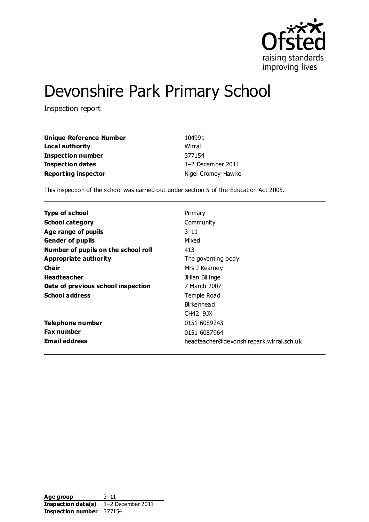

# Devonshire Park Primary School

Inspection report

| Unique Reference Number    | 104991             |
|----------------------------|--------------------|
| Local authority            | Wirral             |
| Inspection number          | 377154             |
| <b>Inspection dates</b>    | 1-2 December 2011  |
| <b>Reporting inspector</b> | Nigel Cromey-Hawke |

This inspection of the school was carried out under section 5 of the Education Act 2005.

| <b>Type of school</b>               | Primary                                  |
|-------------------------------------|------------------------------------------|
| <b>School category</b>              | Community                                |
| Age range of pupils                 | $3 - 11$                                 |
| <b>Gender of pupils</b>             | Mixed                                    |
| Number of pupils on the school roll | 413                                      |
| Appropriate authority               | The governing body                       |
| Cha ir                              | Mrs J Kearney                            |
| <b>Headteacher</b>                  | Jillian Billinge                         |
| Date of previous school inspection  | 7 March 2007                             |
| <b>School address</b>               | Temple Road                              |
|                                     | Birkenhead                               |
|                                     | CH42 9JX                                 |
| Telephone number                    | 0151 6089243                             |
| <b>Fax number</b>                   | 0151 6087964                             |
| <b>Email address</b>                | headteacher@devonshirepark.wirral.sch.uk |

Age group 3–11 **Inspection date(s)** 1–2 December 2011 **Inspection number** 377154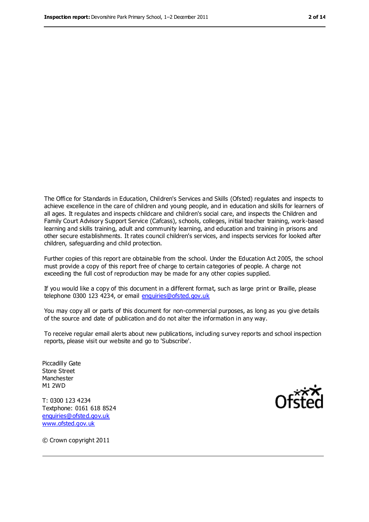The Office for Standards in Education, Children's Services and Skills (Ofsted) regulates and inspects to achieve excellence in the care of children and young people, and in education and skills for learners of all ages. It regulates and inspects childcare and children's social care, and inspects the Children and Family Court Advisory Support Service (Cafcass), schools, colleges, initial teacher training, work-based learning and skills training, adult and community learning, and education and training in prisons and other secure establishments. It rates council children's services, and inspects services for looked after children, safeguarding and child protection.

Further copies of this report are obtainable from the school. Under the Education Act 2005, the school must provide a copy of this report free of charge to certain categories of people. A charge not exceeding the full cost of reproduction may be made for any other copies supplied.

If you would like a copy of this document in a different format, such as large print or Braille, please telephone 0300 123 4234, or email [enquiries@ofsted.gov.uk](mailto:enquiries@ofsted.gov.uk)

You may copy all or parts of this document for non-commercial purposes, as long as you give details of the source and date of publication and do not alter the information in any way.

To receive regular email alerts about new publications, including survey reports and school inspection reports, please visit our website and go to 'Subscribe'.

Piccadilly Gate Store Street Manchester M1 2WD

T: 0300 123 4234 Textphone: 0161 618 8524 [enquiries@ofsted.gov.uk](mailto:enquiries@ofsted.gov.uk) [www.ofsted.gov.uk](http://www.ofsted.gov.uk/)



© Crown copyright 2011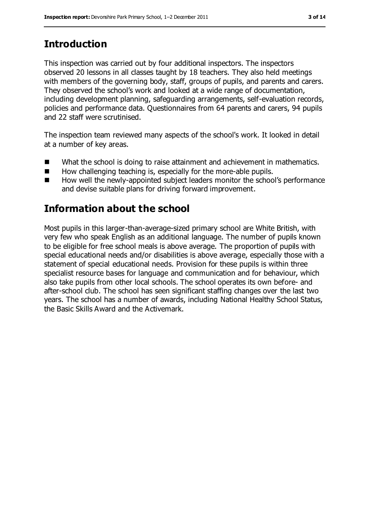# **Introduction**

This inspection was carried out by four additional inspectors. The inspectors observed 20 lessons in all classes taught by 18 teachers. They also held meetings with members of the governing body, staff, groups of pupils, and parents and carers. They observed the school's work and looked at a wide range of documentation, including development planning, safeguarding arrangements, self-evaluation records, policies and performance data. Questionnaires from 64 parents and carers, 94 pupils and 22 staff were scrutinised.

The inspection team reviewed many aspects of the school's work. It looked in detail at a number of key areas.

- What the school is doing to raise attainment and achievement in mathematics.
- $\blacksquare$  How challenging teaching is, especially for the more-able pupils.
- How well the newly-appointed subject leaders monitor the school's performance and devise suitable plans for driving forward improvement.

# **Information about the school**

Most pupils in this larger-than-average-sized primary school are White British, with very few who speak English as an additional language. The number of pupils known to be eligible for free school meals is above average. The proportion of pupils with special educational needs and/or disabilities is above average, especially those with a statement of special educational needs. Provision for these pupils is within three specialist resource bases for language and communication and for behaviour, which also take pupils from other local schools. The school operates its own before- and after-school club. The school has seen significant staffing changes over the last two years. The school has a number of awards, including National Healthy School Status, the Basic Skills Award and the Activemark.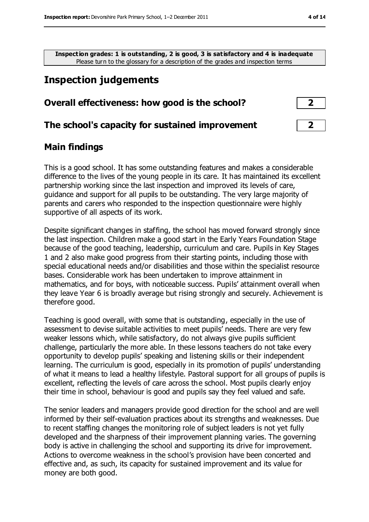**Inspection grades: 1 is outstanding, 2 is good, 3 is satisfactory and 4 is inadequate** Please turn to the glossary for a description of the grades and inspection terms

# **Inspection judgements**

#### **Overall effectiveness: how good is the school? 2**

#### **The school's capacity for sustained improvement 2**

#### **Main findings**

This is a good school. It has some outstanding features and makes a considerable difference to the lives of the young people in its care. It has maintained its excellent partnership working since the last inspection and improved its levels of care, guidance and support for all pupils to be outstanding. The very large majority of parents and carers who responded to the inspection questionnaire were highly supportive of all aspects of its work.

Despite significant changes in staffing, the school has moved forward strongly since the last inspection. Children make a good start in the Early Years Foundation Stage because of the good teaching, leadership, curriculum and care. Pupils in Key Stages 1 and 2 also make good progress from their starting points, including those with special educational needs and/or disabilities and those within the specialist resource bases. Considerable work has been undertaken to improve attainment in mathematics, and for boys, with noticeable success. Pupils' attainment overall when they leave Year 6 is broadly average but rising strongly and securely. Achievement is therefore good.

Teaching is good overall, with some that is outstanding, especially in the use of assessment to devise suitable activities to meet pupils' needs. There are very few weaker lessons which, while satisfactory, do not always give pupils sufficient challenge, particularly the more able. In these lessons teachers do not take every opportunity to develop pupils' speaking and listening skills or their independent learning. The curriculum is good, especially in its promotion of pupils' understanding of what it means to lead a healthy lifestyle. Pastoral support for all groups of pupils is excellent, reflecting the levels of care across the school. Most pupils clearly enjoy their time in school, behaviour is good and pupils say they feel valued and safe.

The senior leaders and managers provide good direction for the school and are well informed by their self-evaluation practices about its strengths and weaknesses. Due to recent staffing changes the monitoring role of subject leaders is not yet fully developed and the sharpness of their improvement planning varies. The governing body is active in challenging the school and supporting its drive for improvement. Actions to overcome weakness in the school's provision have been concerted and effective and, as such, its capacity for sustained improvement and its value for money are both good.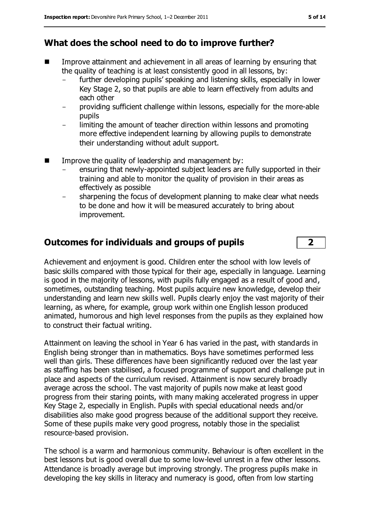# **What does the school need to do to improve further?**

- Improve attainment and achievement in all areas of learning by ensuring that the quality of teaching is at least consistently good in all lessons, by:
	- further developing pupils' speaking and listening skills, especially in lower Key Stage 2, so that pupils are able to learn effectively from adults and each other
	- providing sufficient challenge within lessons, especially for the more-able pupils
	- limiting the amount of teacher direction within lessons and promoting more effective independent learning by allowing pupils to demonstrate their understanding without adult support.
- $\blacksquare$  Improve the quality of leadership and management by:
	- ensuring that newly-appointed subject leaders are fully supported in their training and able to monitor the quality of provision in their areas as effectively as possible
	- sharpening the focus of development planning to make clear what needs to be done and how it will be measured accurately to bring about improvement.

# **Outcomes for individuals and groups of pupils 2**

Achievement and enjoyment is good. Children enter the school with low levels of basic skills compared with those typical for their age, especially in language. Learning is good in the majority of lessons, with pupils fully engaged as a result of good and, sometimes, outstanding teaching. Most pupils acquire new knowledge, develop their understanding and learn new skills well. Pupils clearly enjoy the vast majority of their learning, as where, for example, group work within one English lesson produced animated, humorous and high level responses from the pupils as they explained how to construct their factual writing.

Attainment on leaving the school in Year 6 has varied in the past, with standards in English being stronger than in mathematics. Boys have sometimes performed less well than girls. These differences have been significantly reduced over the last year as staffing has been stabilised, a focused programme of support and challenge put in place and aspects of the curriculum revised. Attainment is now securely broadly average across the school. The vast majority of pupils now make at least good progress from their staring points, with many making accelerated progress in upper Key Stage 2, especially in English. Pupils with special educational needs and/or disabilities also make good progress because of the additional support they receive. Some of these pupils make very good progress, notably those in the specialist resource-based provision.

The school is a warm and harmonious community. Behaviour is often excellent in the best lessons but is good overall due to some low-level unrest in a few other lessons. Attendance is broadly average but improving strongly. The progress pupils make in developing the key skills in literacy and numeracy is good, often from low starting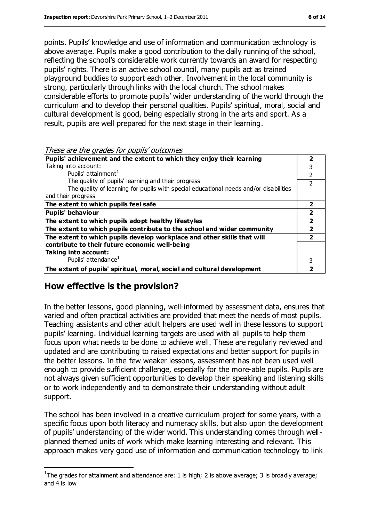points. Pupils' knowledge and use of information and communication technology is above average. Pupils make a good contribution to the daily running of the school, reflecting the school's considerable work currently towards an award for respecting pupils' rights. There is an active school council, many pupils act as trained playground buddies to support each other. Involvement in the local community is strong, particularly through links with the local church. The school makes considerable efforts to promote pupils' wider understanding of the world through the curriculum and to develop their personal qualities. Pupils' spiritual, moral, social and cultural development is good, being especially strong in the arts and sport. As a result, pupils are well prepared for the next stage in their learning.

| These are the grades for pupils' outcomes                                             |                         |
|---------------------------------------------------------------------------------------|-------------------------|
| Pupils' achievement and the extent to which they enjoy their learning                 | 2                       |
| Taking into account:                                                                  | 3                       |
| Pupils' attainment <sup>1</sup>                                                       | $\overline{2}$          |
| The quality of pupils' learning and their progress                                    | $\overline{2}$          |
| The quality of learning for pupils with special educational needs and/or disabilities |                         |
| and their progress                                                                    |                         |
| The extent to which pupils feel safe                                                  | 2                       |
| Pupils' behaviour                                                                     | $\overline{2}$          |
| The extent to which pupils adopt healthy lifestyles                                   | $\overline{\mathbf{2}}$ |
| The extent to which pupils contribute to the school and wider community               | $\overline{\mathbf{2}}$ |
| The extent to which pupils develop workplace and other skills that will               | $\overline{2}$          |
| contribute to their future economic well-being                                        |                         |
| Taking into account:                                                                  |                         |
| Pupils' attendance <sup>1</sup>                                                       | 3                       |
| The extent of pupils' spiritual, moral, social and cultural development               | 2                       |
|                                                                                       |                         |

#### **How effective is the provision?**

 $\overline{a}$ 

In the better lessons, good planning, well-informed by assessment data, ensures that varied and often practical activities are provided that meet the needs of most pupils. Teaching assistants and other adult helpers are used well in these lessons to support pupils' learning. Individual learning targets are used with all pupils to help them focus upon what needs to be done to achieve well. These are regularly reviewed and updated and are contributing to raised expectations and better support for pupils in the better lessons. In the few weaker lessons, assessment has not been used well enough to provide sufficient challenge, especially for the more-able pupils. Pupils are not always given sufficient opportunities to develop their speaking and listening skills or to work independently and to demonstrate their understanding without adult support.

The school has been involved in a creative curriculum project for some years, with a specific focus upon both literacy and numeracy skills, but also upon the development of pupils' understanding of the wider world. This understanding comes through wellplanned themed units of work which make learning interesting and relevant. This approach makes very good use of information and communication technology to link

**2** 3  $\overline{2}$  $\overline{2}$ 

**2**

3

<sup>&</sup>lt;sup>1</sup>The grades for attainment and attendance are: 1 is high; 2 is above average; 3 is broadly average; and 4 is low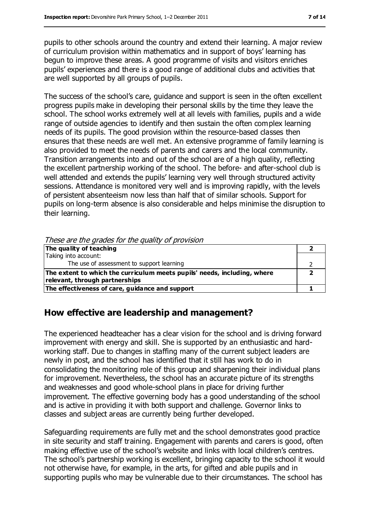pupils to other schools around the country and extend their learning. A major review of curriculum provision within mathematics and in support of boys' learning has begun to improve these areas. A good programme of visits and visitors enriches pupils' experiences and there is a good range of additional clubs and activities that are well supported by all groups of pupils.

The success of the school's care, guidance and support is seen in the often excellent progress pupils make in developing their personal skills by the time they leave the school. The school works extremely well at all levels with families, pupils and a wide range of outside agencies to identify and then sustain the often complex learning needs of its pupils. The good provision within the resource-based classes then ensures that these needs are well met. An extensive programme of family learning is also provided to meet the needs of parents and carers and the local community. Transition arrangements into and out of the school are of a high quality, reflecting the excellent partnership working of the school. The before- and after-school club is well attended and extends the pupils' learning very well through structured activity sessions. Attendance is monitored very well and is improving rapidly, with the levels of persistent absenteeism now less than half that of similar schools. Support for pupils on long-term absence is also considerable and helps minimise the disruption to their learning.

These are the grades for the quality of provision

| $1.11$ and an and $\frac{1}{2}$ and also not and an analytic provident   |  |
|--------------------------------------------------------------------------|--|
| The quality of teaching                                                  |  |
| Taking into account:                                                     |  |
| The use of assessment to support learning                                |  |
| The extent to which the curriculum meets pupils' needs, including, where |  |
| relevant, through partnerships                                           |  |
| The effectiveness of care, guidance and support                          |  |

#### **How effective are leadership and management?**

The experienced headteacher has a clear vision for the school and is driving forward improvement with energy and skill. She is supported by an enthusiastic and hardworking staff. Due to changes in staffing many of the current subject leaders are newly in post, and the school has identified that it still has work to do in consolidating the monitoring role of this group and sharpening their individual plans for improvement. Nevertheless, the school has an accurate picture of its strengths and weaknesses and good whole-school plans in place for driving further improvement. The effective governing body has a good understanding of the school and is active in providing it with both support and challenge. Governor links to classes and subject areas are currently being further developed.

Safeguarding requirements are fully met and the school demonstrates good practice in site security and staff training. Engagement with parents and carers is good, often making effective use of the school's website and links with local children's centres. The school's partnership working is excellent, bringing capacity to the school it would not otherwise have, for example, in the arts, for gifted and able pupils and in supporting pupils who may be vulnerable due to their circumstances. The school has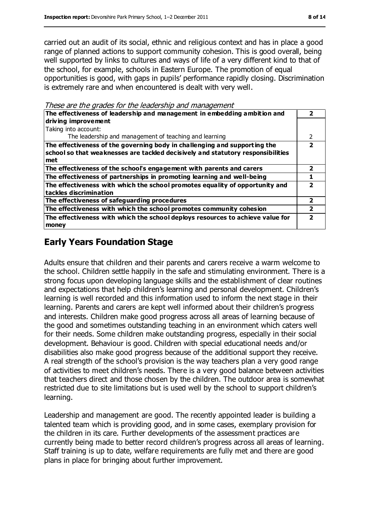carried out an audit of its social, ethnic and religious context and has in place a good range of planned actions to support community cohesion. This is good overall, being well supported by links to cultures and ways of life of a very different kind to that of the school, for example, schools in Eastern Europe. The promotion of equal opportunities is good, with gaps in pupils' performance rapidly closing. Discrimination is extremely rare and when encountered is dealt with very well.

These are the grades for the leadership and management

| The effectiveness of leadership and management in embedding ambition and<br>driving improvement                                                                     |  |
|---------------------------------------------------------------------------------------------------------------------------------------------------------------------|--|
| Taking into account:                                                                                                                                                |  |
| The leadership and management of teaching and learning                                                                                                              |  |
| The effectiveness of the governing body in challenging and supporting the<br>school so that weaknesses are tackled decisively and statutory responsibilities<br>met |  |
| The effectiveness of the school's engagement with parents and carers                                                                                                |  |
| The effectiveness of partnerships in promoting learning and well-being                                                                                              |  |
| The effectiveness with which the school promotes equality of opportunity and<br>tackles discrimination                                                              |  |
| The effectiveness of safeguarding procedures                                                                                                                        |  |
| The effectiveness with which the school promotes community cohesion                                                                                                 |  |
| The effectiveness with which the school deploys resources to achieve value for<br>money                                                                             |  |

# **Early Years Foundation Stage**

Adults ensure that children and their parents and carers receive a warm welcome to the school. Children settle happily in the safe and stimulating environment. There is a strong focus upon developing language skills and the establishment of clear routines and expectations that help children's learning and personal development. Children's learning is well recorded and this information used to inform the next stage in their learning. Parents and carers are kept well informed about their children's progress and interests. Children make good progress across all areas of learning because of the good and sometimes outstanding teaching in an environment which caters well for their needs. Some children make outstanding progress, especially in their social development. Behaviour is good. Children with special educational needs and/or disabilities also make good progress because of the additional support they receive. A real strength of the school's provision is the way teachers plan a very good range of activities to meet children's needs. There is a very good balance between activities that teachers direct and those chosen by the children. The outdoor area is somewhat restricted due to site limitations but is used well by the school to support children's learning.

Leadership and management are good. The recently appointed leader is building a talented team which is providing good, and in some cases, exemplary provision for the children in its care. Further developments of the assessment practices are currently being made to better record children's progress across all areas of learning. Staff training is up to date, welfare requirements are fully met and there are good plans in place for bringing about further improvement.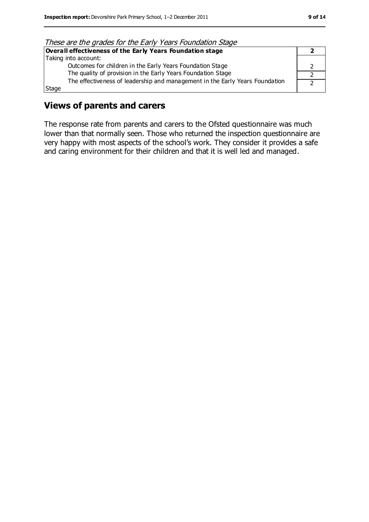| These are the grades for the Early Years Foundation Stage                    |  |
|------------------------------------------------------------------------------|--|
| Overall effectiveness of the Early Years Foundation stage                    |  |
| Taking into account:                                                         |  |
| Outcomes for children in the Early Years Foundation Stage                    |  |
| The quality of provision in the Early Years Foundation Stage                 |  |
| The effectiveness of leadership and management in the Early Years Foundation |  |
| Stage                                                                        |  |

#### **Views of parents and carers**

The response rate from parents and carers to the Ofsted questionnaire was much lower than that normally seen. Those who returned the inspection questionnaire are very happy with most aspects of the school's work. They consider it provides a safe and caring environment for their children and that it is well led and managed.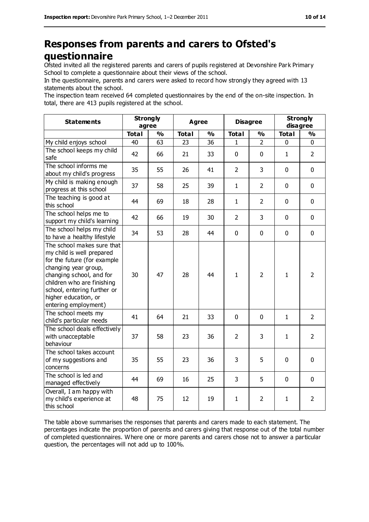# **Responses from parents and carers to Ofsted's questionnaire**

Ofsted invited all the registered parents and carers of pupils registered at Devonshire Park Primary School to complete a questionnaire about their views of the school.

In the questionnaire, parents and carers were asked to record how strongly they agreed with 13 statements about the school.

The inspection team received 64 completed questionnaires by the end of the on-site inspection. In total, there are 413 pupils registered at the school.

| <b>Statements</b>                                                                                                                                                                                                                                       | <b>Strongly</b><br>agree |               | <b>Agree</b> |               | <b>Disagree</b> |                | <b>Strongly</b><br>disagree |                |
|---------------------------------------------------------------------------------------------------------------------------------------------------------------------------------------------------------------------------------------------------------|--------------------------|---------------|--------------|---------------|-----------------|----------------|-----------------------------|----------------|
|                                                                                                                                                                                                                                                         | <b>Total</b>             | $\frac{0}{0}$ | <b>Total</b> | $\frac{0}{0}$ | <b>Total</b>    | $\frac{0}{0}$  | <b>Total</b>                | $\frac{0}{0}$  |
| My child enjoys school                                                                                                                                                                                                                                  | 40                       | 63            | 23           | 36            | 1               | 2              | 0                           | 0              |
| The school keeps my child<br>safe                                                                                                                                                                                                                       | 42                       | 66            | 21           | 33            | 0               | $\mathbf 0$    | $\mathbf{1}$                | $\overline{2}$ |
| The school informs me<br>about my child's progress                                                                                                                                                                                                      | 35                       | 55            | 26           | 41            | $\overline{2}$  | 3              | $\mathbf 0$                 | 0              |
| My child is making enough<br>progress at this school                                                                                                                                                                                                    | 37                       | 58            | 25           | 39            | $\mathbf{1}$    | $\overline{2}$ | $\mathbf 0$                 | 0              |
| The teaching is good at<br>this school                                                                                                                                                                                                                  | 44                       | 69            | 18           | 28            | $\mathbf{1}$    | $\overline{2}$ | $\mathbf 0$                 | 0              |
| The school helps me to<br>support my child's learning                                                                                                                                                                                                   | 42                       | 66            | 19           | 30            | $\overline{2}$  | 3              | $\mathbf 0$                 | 0              |
| The school helps my child<br>to have a healthy lifestyle                                                                                                                                                                                                | 34                       | 53            | 28           | 44            | $\mathbf 0$     | $\mathbf 0$    | $\mathbf 0$                 | 0              |
| The school makes sure that<br>my child is well prepared<br>for the future (for example<br>changing year group,<br>changing school, and for<br>children who are finishing<br>school, entering further or<br>higher education, or<br>entering employment) | 30                       | 47            | 28           | 44            | $\mathbf{1}$    | $\overline{2}$ | $\mathbf{1}$                | $\overline{2}$ |
| The school meets my<br>child's particular needs                                                                                                                                                                                                         | 41                       | 64            | 21           | 33            | $\mathbf 0$     | $\Omega$       | $\mathbf{1}$                | $\overline{2}$ |
| The school deals effectively<br>with unacceptable<br>behaviour                                                                                                                                                                                          | 37                       | 58            | 23           | 36            | $\overline{2}$  | 3              | 1                           | $\overline{2}$ |
| The school takes account<br>of my suggestions and<br>concerns                                                                                                                                                                                           | 35                       | 55            | 23           | 36            | 3               | 5              | $\mathbf 0$                 | 0              |
| The school is led and<br>managed effectively                                                                                                                                                                                                            | 44                       | 69            | 16           | 25            | 3               | 5              | $\mathbf 0$                 | 0              |
| Overall, I am happy with<br>my child's experience at<br>this school                                                                                                                                                                                     | 48                       | 75            | 12           | 19            | $\mathbf{1}$    | $\overline{2}$ | $\mathbf{1}$                | $\overline{2}$ |

The table above summarises the responses that parents and carers made to each statement. The percentages indicate the proportion of parents and carers giving that response out of the total number of completed questionnaires. Where one or more parents and carers chose not to answer a particular question, the percentages will not add up to 100%.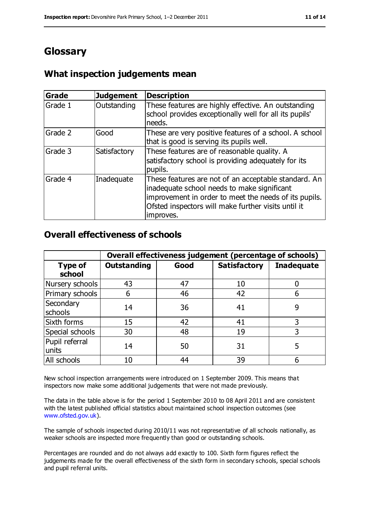# **Glossary**

#### **What inspection judgements mean**

| <b>Grade</b> | <b>Judgement</b> | <b>Description</b>                                                                                                                                                                                                               |
|--------------|------------------|----------------------------------------------------------------------------------------------------------------------------------------------------------------------------------------------------------------------------------|
| Grade 1      | Outstanding      | These features are highly effective. An outstanding<br>school provides exceptionally well for all its pupils'<br>needs.                                                                                                          |
| Grade 2      | Good             | These are very positive features of a school. A school<br>that is good is serving its pupils well.                                                                                                                               |
| Grade 3      | Satisfactory     | These features are of reasonable quality. A<br>satisfactory school is providing adequately for its<br>pupils.                                                                                                                    |
| Grade 4      | Inadequate       | These features are not of an acceptable standard. An<br>inadequate school needs to make significant<br>improvement in order to meet the needs of its pupils.<br>Ofsted inspectors will make further visits until it<br>improves. |

#### **Overall effectiveness of schools**

|                          | Overall effectiveness judgement (percentage of schools) |      |                     |                   |
|--------------------------|---------------------------------------------------------|------|---------------------|-------------------|
| <b>Type of</b><br>school | <b>Outstanding</b>                                      | Good | <b>Satisfactory</b> | <b>Inadequate</b> |
| Nursery schools          | 43                                                      | 47   | 10                  |                   |
| Primary schools          | 6                                                       | 46   | 42                  |                   |
| Secondary<br>schools     | 14                                                      | 36   | 41                  | 9                 |
| Sixth forms              | 15                                                      | 42   | 41                  | 3                 |
| Special schools          | 30                                                      | 48   | 19                  | 3                 |
| Pupil referral<br>units  | 14                                                      | 50   | 31                  | 5                 |
| All schools              | 10                                                      | 44   | 39                  |                   |

New school inspection arrangements were introduced on 1 September 2009. This means that inspectors now make some additional judgements that were not made previously.

The data in the table above is for the period 1 September 2010 to 08 April 2011 and are consistent with the latest published official statistics about maintained school inspection outcomes (see [www.ofsted.gov.uk\)](http://www.ofsted.gov.uk/).

The sample of schools inspected during 2010/11 was not representative of all schools nationally, as weaker schools are inspected more frequently than good or outstanding schools.

Percentages are rounded and do not always add exactly to 100. Sixth form figures reflect the judgements made for the overall effectiveness of the sixth form in secondary schools, special schools and pupil referral units.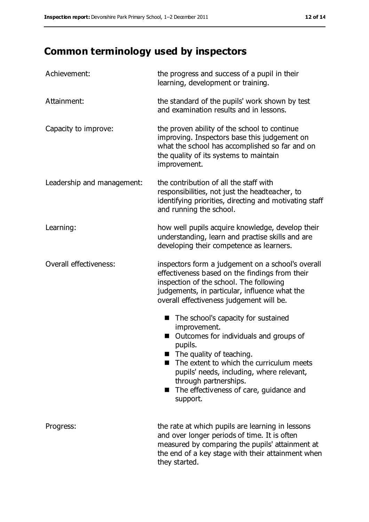# **Common terminology used by inspectors**

| Achievement:               | the progress and success of a pupil in their<br>learning, development or training.                                                                                                                                                                                                                                   |
|----------------------------|----------------------------------------------------------------------------------------------------------------------------------------------------------------------------------------------------------------------------------------------------------------------------------------------------------------------|
| Attainment:                | the standard of the pupils' work shown by test<br>and examination results and in lessons.                                                                                                                                                                                                                            |
| Capacity to improve:       | the proven ability of the school to continue<br>improving. Inspectors base this judgement on<br>what the school has accomplished so far and on<br>the quality of its systems to maintain<br>improvement.                                                                                                             |
| Leadership and management: | the contribution of all the staff with<br>responsibilities, not just the headteacher, to<br>identifying priorities, directing and motivating staff<br>and running the school.                                                                                                                                        |
| Learning:                  | how well pupils acquire knowledge, develop their<br>understanding, learn and practise skills and are<br>developing their competence as learners.                                                                                                                                                                     |
| Overall effectiveness:     | inspectors form a judgement on a school's overall<br>effectiveness based on the findings from their<br>inspection of the school. The following<br>judgements, in particular, influence what the<br>overall effectiveness judgement will be.                                                                          |
|                            | The school's capacity for sustained<br>■<br>improvement.<br>Outcomes for individuals and groups of<br>pupils.<br>The quality of teaching.<br>The extent to which the curriculum meets<br>pupils' needs, including, where relevant,<br>through partnerships.<br>■ The effectiveness of care, guidance and<br>support. |
| Progress:                  | the rate at which pupils are learning in lessons<br>and over longer periods of time. It is often<br>measured by comparing the pupils' attainment at<br>the end of a key stage with their attainment when<br>they started.                                                                                            |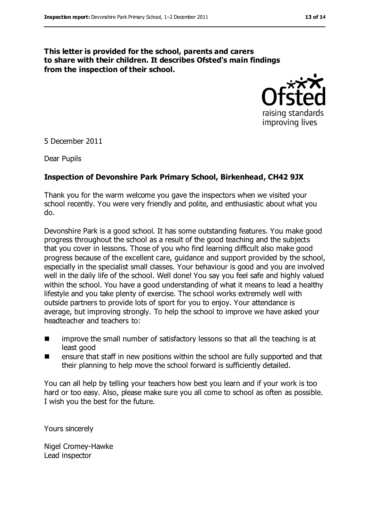#### **This letter is provided for the school, parents and carers to share with their children. It describes Ofsted's main findings from the inspection of their school.**



5 December 2011

Dear Pupils

#### **Inspection of Devonshire Park Primary School, Birkenhead, CH42 9JX**

Thank you for the warm welcome you gave the inspectors when we visited your school recently. You were very friendly and polite, and enthusiastic about what you do.

Devonshire Park is a good school. It has some outstanding features. You make good progress throughout the school as a result of the good teaching and the subjects that you cover in lessons. Those of you who find learning difficult also make good progress because of the excellent care, guidance and support provided by the school, especially in the specialist small classes. Your behaviour is good and you are involved well in the daily life of the school. Well done! You say you feel safe and highly valued within the school. You have a good understanding of what it means to lead a healthy lifestyle and you take plenty of exercise. The school works extremely well with outside partners to provide lots of sport for you to enjoy. Your attendance is average, but improving strongly. To help the school to improve we have asked your headteacher and teachers to:

- **If all improve the small number of satisfactory lessons so that all the teaching is at** least good
- ensure that staff in new positions within the school are fully supported and that their planning to help move the school forward is sufficiently detailed.

You can all help by telling your teachers how best you learn and if your work is too hard or too easy. Also, please make sure you all come to school as often as possible. I wish you the best for the future.

Yours sincerely

Nigel Cromey-Hawke Lead inspector